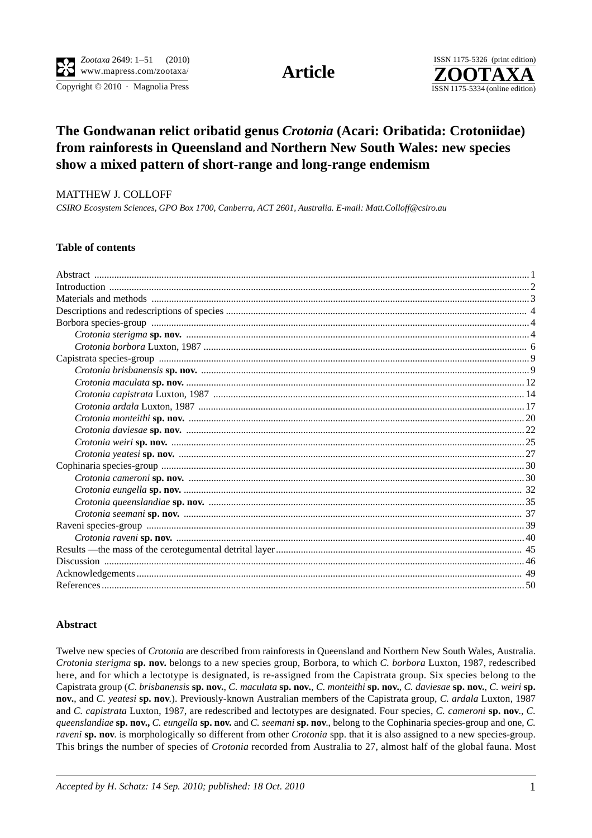Copyright  $© 2010$  · Magnolia Press ISSN 1175-5334 (online edition)



# **The Gondwanan relict oribatid genus** *Crotonia* **(Acari: Oribatida: Crotoniidae) from rainforests in Queensland and Northern New South Wales: new species show a mixed pattern of short-range and long-range endemism**

#### MATTHEW J. COLLOFF

*CSIRO Ecosystem Sciences, GPO Box 1700, Canberra, ACT 2601, Australia. E-mail: Matt.Colloff@csiro.au*

# **Table of contents**

## **Abstract**

Twelve new species of *Crotonia* are described from rainforests in Queensland and Northern New South Wales, Australia. *Crotonia sterigma* **sp. nov.** belongs to a new species group, Borbora, to which *C. borbora* Luxton, 1987, redescribed here, and for which a lectotype is designated, is re-assigned from the Capistrata group. Six species belong to the Capistrata group (*C*. *brisbanensis* **sp. nov.**, *C. maculata* **sp. nov.**, *C. monteithi* **sp. nov.**, *C. daviesae* **sp. nov.**, *C. weiri* **sp. nov.**, and *C. yeatesi* **sp. nov**.). Previously-known Australian members of the Capistrata group, *C. ardala* Luxton, 1987 and *C. capistrata* Luxton, 1987, are redescribed and lectotypes are designated. Four species, *C. cameroni* **sp. nov**., *C. queenslandiae* **sp. nov.,** *C. eungella* **sp. nov.** and *C. seemani* **sp. nov**., belong to the Cophinaria species-group and one, *C. raveni* **sp. nov**. is morphologically so different from other *Crotonia* spp. that it is also assigned to a new species-group. This brings the number of species of *Crotonia* recorded from Australia to 27, almost half of the global fauna. Most